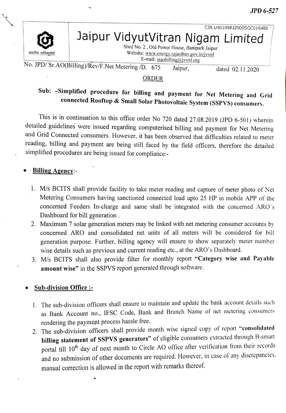JPD 6-527



CIN:U40109RI2000SGCO16486 Jaipur VidyutVitran Nigam Limited

Shed No. 2, Old Power House, Banipark Jaipur<br>Website: www.energy.rajasthan.gov.in/jvvnl E-mail: sraobilling@jvvnl.org

No. JPD/ Sr.AO(Billing)/Rev/F.Net Metering /D. 675 Jaipur, dated 02.11.2020

#### ORDER

# Sub: -Simplified procedure for billing and payment for Net Metering and Grid connected Rooftop & Small Solar Photovoltaic System (SSPVS) consumers.

This is in continuation to this office order No 720 dated 27.08.2019 (JPD 6-501) wherein detailed guidelines were issued regarding computerised billing and payment for Net Metering and Grid Connected consumers. However, it has been observed that difficulties related to meter reading, billing and payment are being still faced by the field officers, therefore the detailed simplified procedures are being issued for compliance:

#### Billing Agency:-

- 1. M/s BCITS shall provide facility to take meter reading and capture of meter photo of Net Metering Consumers having sanctioned connected load upto 25 HP in mobile APP of the concerned Feeders In-charge and same shall be integrated with the concerned ARO's Dashboard for bill generation
- 2. Maximum 7 solar generation meters may be linked with net metering consumer accounts by concerned ARO and consolidated net units of all meters will be considered for bill generation purpose. Further, billing agency will ensure to show separately meter number wise details such as previous and current reading etc., at the ARO's Dashboard.
- 3. M/s BCITS shall also provide filter for monthly report "Category wise and Payable amount wise" in the SSPVS report generated through software.

#### Sub-division Office :-

- 1. The sub-division officers shall ensure to maintain and update the bank account details such as Bank Account no., IFSC Code, Bank and Branch Name of net metering consunmers rendering the payment process hassle free.
- 2. The sub-division officers shall provide month wise signed copy of report "consolidated billing statement of SSPVS generators" of eligible consumers extracted through B-smart portal till 10<sup>th</sup> day of next month to Circle AO office after verification from their records and no submission of other documents are required. However, in case of any discrepancies. manual correction is allowed in the report with remarks thereof.